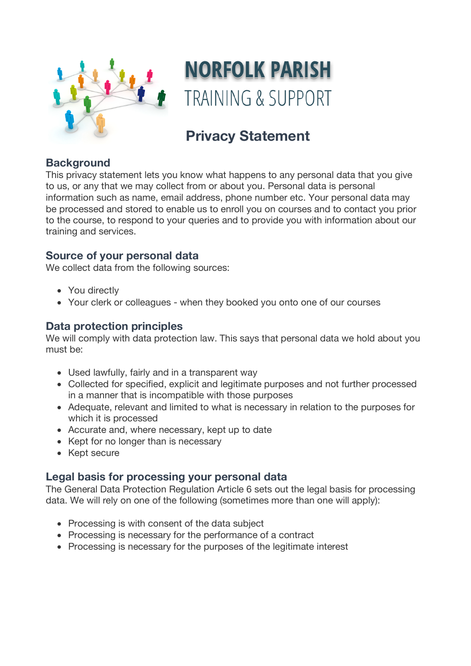

# **NORFOLK PARISH TRAINING & SUPPORT**

# **Privacy Statement**

## **Background**

This privacy statement lets you know what happens to any personal data that you give to us, or any that we may collect from or about you. Personal data is personal information such as name, email address, phone number etc. Your personal data may be processed and stored to enable us to enroll you on courses and to contact you prior to the course, to respond to your queries and to provide you with information about our training and services.

### **Source of your personal data**

We collect data from the following sources:

- You directly
- Your clerk or colleagues when they booked you onto one of our courses

### **Data protection principles**

We will comply with data protection law. This says that personal data we hold about you must be:

- Used lawfully, fairly and in a transparent way
- Collected for specified, explicit and legitimate purposes and not further processed in a manner that is incompatible with those purposes
- Adequate, relevant and limited to what is necessary in relation to the purposes for which it is processed
- Accurate and, where necessary, kept up to date
- Kept for no longer than is necessary
- Kept secure

#### **Legal basis for processing your personal data**

The General Data Protection Regulation Article 6 sets out the legal basis for processing data. We will rely on one of the following (sometimes more than one will apply):

- Processing is with consent of the data subject
- Processing is necessary for the performance of a contract
- Processing is necessary for the purposes of the legitimate interest